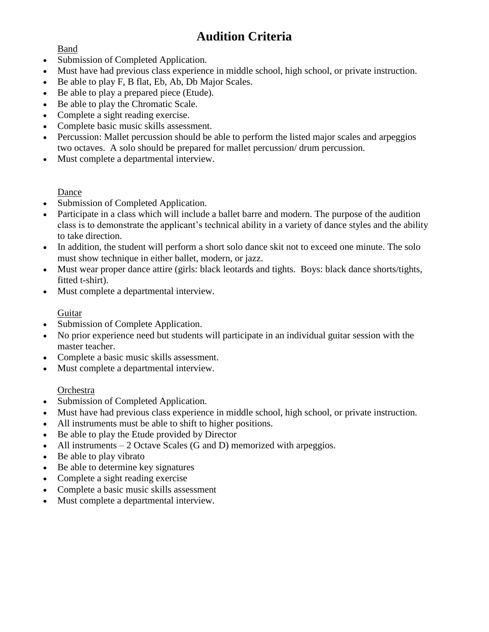# **Audition Criteria**

Band

- Submission of Completed Application.
- Must have had previous class experience in middle school, high school, or private instruction.
- Be able to play F, B flat, Eb, Ab, Db Major Scales.
- Be able to play a prepared piece (Etude).
- Be able to play the Chromatic Scale.
- Complete a sight reading exercise.
- Complete basic music skills assessment.
- Percussion: Mallet percussion should be able to perform the listed major scales and arpeggios two octaves. A solo should be prepared for mallet percussion/ drum percussion.
- Must complete a departmental interview.

### Dance

- Submission of Completed Application.
- Participate in a class which will include a ballet barre and modern. The purpose of the audition class is to demonstrate the applicant's technical ability in a variety of dance styles and the ability to take direction.
- In addition, the student will perform a short solo dance skit not to exceed one minute. The solo must show technique in either ballet, modern, or jazz.
- Must wear proper dance attire (girls: black leotards and tights. Boys: black dance shorts/tights, fitted t-shirt).
- Must complete a departmental interview.

### Guitar

- Submission of Complete Application.
- No prior experience need but students will participate in an individual guitar session with the master teacher.
- Complete a basic music skills assessment.
- Must complete a departmental interview.

#### Orchestra

- Submission of Completed Application.
- Must have had previous class experience in middle school, high school, or private instruction.
- All instruments must be able to shift to higher positions.
- Be able to play the Etude provided by Director
- All instruments 2 Octave Scales (G and D) memorized with arpeggios.
- Be able to play vibrato
- Be able to determine key signatures
- Complete a sight reading exercise
- Complete a basic music skills assessment
- Must complete a departmental interview.